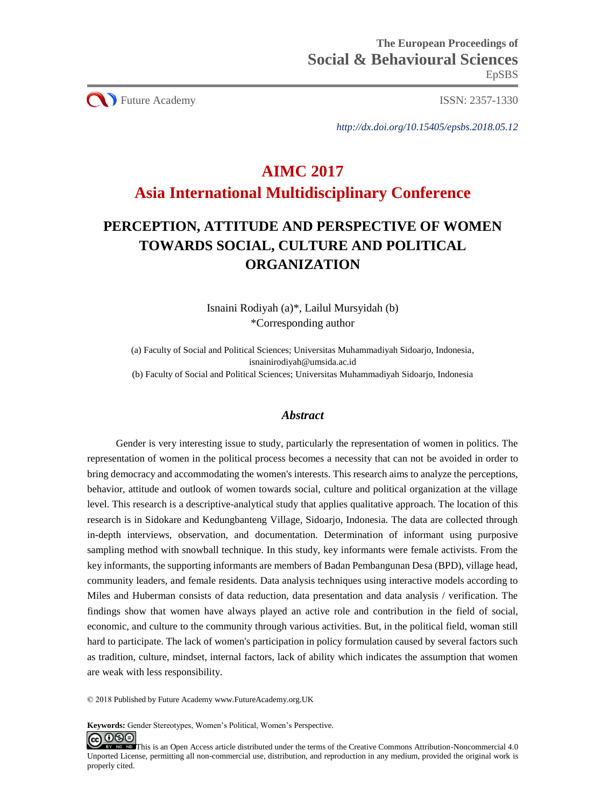**CO** Future Academy ISSN: 2357-1330

*http://dx.doi.org/10.15405/epsbs.2018.05.12*

# **AIMC 2017 Asia International Multidisciplinary Conference**

# **PERCEPTION, ATTITUDE AND PERSPECTIVE OF WOMEN TOWARDS SOCIAL, CULTURE AND POLITICAL ORGANIZATION**

Isnaini Rodiyah (a)\*, Lailul Mursyidah (b) \*Corresponding author

(a) Faculty of Social and Political Sciences; Universitas Muhammadiyah Sidoarjo, Indonesia, isnainirodiyah@umsida.ac.id (b) Faculty of Social and Political Sciences; Universitas Muhammadiyah Sidoarjo, Indonesia

## *Abstract*

Gender is very interesting issue to study, particularly the representation of women in politics. The representation of women in the political process becomes a necessity that can not be avoided in order to bring democracy and accommodating the women's interests. This research aims to analyze the perceptions, behavior, attitude and outlook of women towards social, culture and political organization at the village level. This research is a descriptive-analytical study that applies qualitative approach. The location of this research is in Sidokare and Kedungbanteng Village, Sidoarjo, Indonesia. The data are collected through in-depth interviews, observation, and documentation. Determination of informant using purposive sampling method with snowball technique. In this study, key informants were female activists. From the key informants, the supporting informants are members of Badan Pembangunan Desa (BPD), village head, community leaders, and female residents. Data analysis techniques using interactive models according to Miles and Huberman consists of data reduction, data presentation and data analysis / verification. The findings show that women have always played an active role and contribution in the field of social, economic, and culture to the community through various activities. But, in the political field, woman still hard to participate. The lack of women's participation in policy formulation caused by several factors such as tradition, culture, mindset, internal factors, lack of ability which indicates the assumption that women are weak with less responsibility.

© 2018 Published by Future Academy www.FutureAcademy.org.UK

**Keywords:** Gender Stereotypes, Women's Political, Women's Perspective.

<u>@ 0®0</u> EX NO. ND [T](http://creativecommons.org/licenses/by-nc-nd/4.0/)his is an Open Access article distributed under the terms of the Creative Commons Attribution-Noncommercial 4.0 Unported License, permitting all non-commercial use, distribution, and reproduction in any medium, provided the original work is properly cited.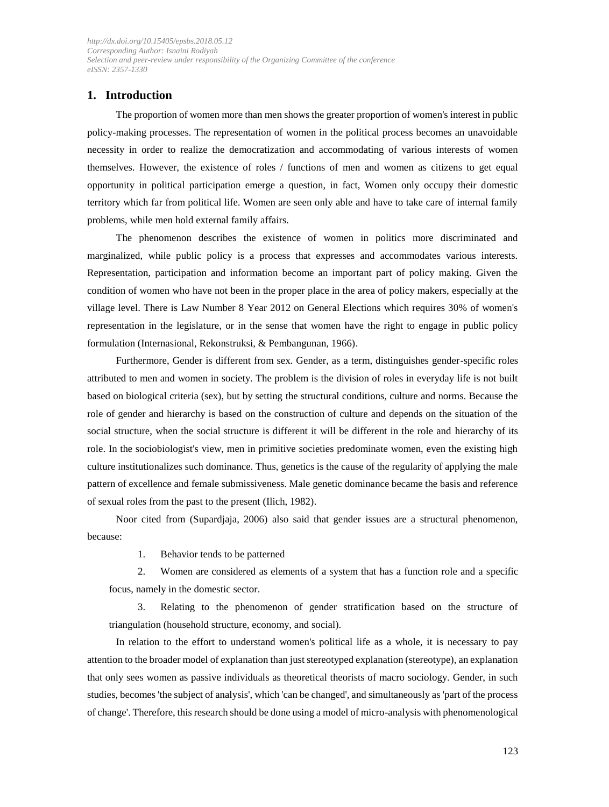## **1. Introduction**

The proportion of women more than men shows the greater proportion of women's interest in public policy-making processes. The representation of women in the political process becomes an unavoidable necessity in order to realize the democratization and accommodating of various interests of women themselves. However, the existence of roles / functions of men and women as citizens to get equal opportunity in political participation emerge a question, in fact, Women only occupy their domestic territory which far from political life. Women are seen only able and have to take care of internal family problems, while men hold external family affairs.

The phenomenon describes the existence of women in politics more discriminated and marginalized, while public policy is a process that expresses and accommodates various interests. Representation, participation and information become an important part of policy making. Given the condition of women who have not been in the proper place in the area of policy makers, especially at the village level. There is Law Number 8 Year 2012 on General Elections which requires 30% of women's representation in the legislature, or in the sense that women have the right to engage in public policy formulation (Internasional, Rekonstruksi, & Pembangunan, 1966).

Furthermore, Gender is different from sex. Gender, as a term, distinguishes gender-specific roles attributed to men and women in society. The problem is the division of roles in everyday life is not built based on biological criteria (sex), but by setting the structural conditions, culture and norms. Because the role of gender and hierarchy is based on the construction of culture and depends on the situation of the social structure, when the social structure is different it will be different in the role and hierarchy of its role. In the sociobiologist's view, men in primitive societies predominate women, even the existing high culture institutionalizes such dominance. Thus, genetics is the cause of the regularity of applying the male pattern of excellence and female submissiveness. Male genetic dominance became the basis and reference of sexual roles from the past to the present (Ilich, 1982).

Noor cited from (Supardjaja, 2006) also said that gender issues are a structural phenomenon, because:

1. Behavior tends to be patterned

2. Women are considered as elements of a system that has a function role and a specific focus, namely in the domestic sector.

3. Relating to the phenomenon of gender stratification based on the structure of triangulation (household structure, economy, and social).

In relation to the effort to understand women's political life as a whole, it is necessary to pay attention to the broader model of explanation than just stereotyped explanation (stereotype), an explanation that only sees women as passive individuals as theoretical theorists of macro sociology. Gender, in such studies, becomes 'the subject of analysis', which 'can be changed', and simultaneously as 'part of the process of change'. Therefore, this research should be done using a model of micro-analysis with phenomenological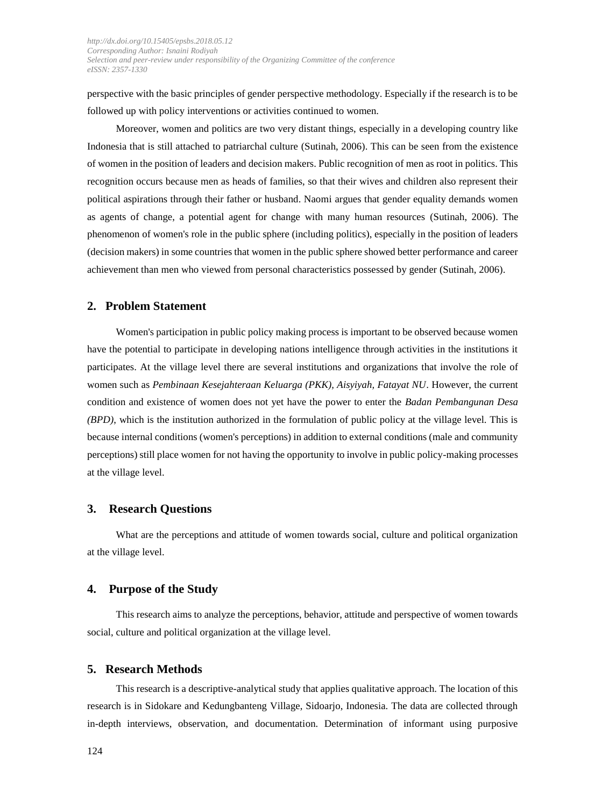perspective with the basic principles of gender perspective methodology. Especially if the research is to be followed up with policy interventions or activities continued to women.

Moreover, women and politics are two very distant things, especially in a developing country like Indonesia that is still attached to patriarchal culture (Sutinah, 2006). This can be seen from the existence of women in the position of leaders and decision makers. Public recognition of men as root in politics. This recognition occurs because men as heads of families, so that their wives and children also represent their political aspirations through their father or husband. Naomi argues that gender equality demands women as agents of change, a potential agent for change with many human resources (Sutinah, 2006). The phenomenon of women's role in the public sphere (including politics), especially in the position of leaders (decision makers) in some countries that women in the public sphere showed better performance and career achievement than men who viewed from personal characteristics possessed by gender (Sutinah, 2006).

### **2. Problem Statement**

Women's participation in public policy making process is important to be observed because women have the potential to participate in developing nations intelligence through activities in the institutions it participates. At the village level there are several institutions and organizations that involve the role of women such as *Pembinaan Kesejahteraan Keluarga (PKK), Aisyiyah, Fatayat NU*. However, the current condition and existence of women does not yet have the power to enter the *Badan Pembangunan Desa (BPD)*, which is the institution authorized in the formulation of public policy at the village level. This is because internal conditions (women's perceptions) in addition to external conditions (male and community perceptions) still place women for not having the opportunity to involve in public policy-making processes at the village level.

## **3. Research Questions**

What are the perceptions and attitude of women towards social, culture and political organization at the village level.

#### **4. Purpose of the Study**

This research aims to analyze the perceptions, behavior, attitude and perspective of women towards social, culture and political organization at the village level.

#### **5. Research Methods**

This research is a descriptive-analytical study that applies qualitative approach. The location of this research is in Sidokare and Kedungbanteng Village, Sidoarjo, Indonesia. The data are collected through in-depth interviews, observation, and documentation. Determination of informant using purposive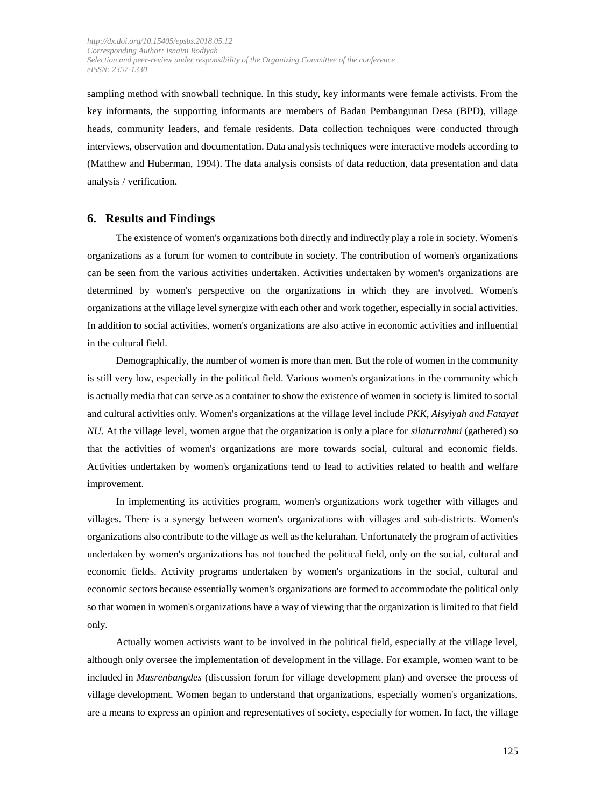sampling method with snowball technique. In this study, key informants were female activists. From the key informants, the supporting informants are members of Badan Pembangunan Desa (BPD), village heads, community leaders, and female residents. Data collection techniques were conducted through interviews, observation and documentation. Data analysis techniques were interactive models according to (Matthew and Huberman, 1994). The data analysis consists of data reduction, data presentation and data analysis / verification.

#### **6. Results and Findings**

The existence of women's organizations both directly and indirectly play a role in society. Women's organizations as a forum for women to contribute in society. The contribution of women's organizations can be seen from the various activities undertaken. Activities undertaken by women's organizations are determined by women's perspective on the organizations in which they are involved. Women's organizations at the village level synergize with each other and work together, especially in social activities. In addition to social activities, women's organizations are also active in economic activities and influential in the cultural field.

Demographically, the number of women is more than men. But the role of women in the community is still very low, especially in the political field. Various women's organizations in the community which is actually media that can serve as a container to show the existence of women in society is limited to social and cultural activities only. Women's organizations at the village level include *PKK, Aisyiyah and Fatayat NU*. At the village level, women argue that the organization is only a place for *silaturrahmi* (gathered) so that the activities of women's organizations are more towards social, cultural and economic fields. Activities undertaken by women's organizations tend to lead to activities related to health and welfare improvement.

In implementing its activities program, women's organizations work together with villages and villages. There is a synergy between women's organizations with villages and sub-districts. Women's organizations also contribute to the village as well as the kelurahan. Unfortunately the program of activities undertaken by women's organizations has not touched the political field, only on the social, cultural and economic fields. Activity programs undertaken by women's organizations in the social, cultural and economic sectors because essentially women's organizations are formed to accommodate the political only so that women in women's organizations have a way of viewing that the organization is limited to that field only.

Actually women activists want to be involved in the political field, especially at the village level, although only oversee the implementation of development in the village. For example, women want to be included in *Musrenbangdes* (discussion forum for village development plan) and oversee the process of village development. Women began to understand that organizations, especially women's organizations, are a means to express an opinion and representatives of society, especially for women. In fact, the village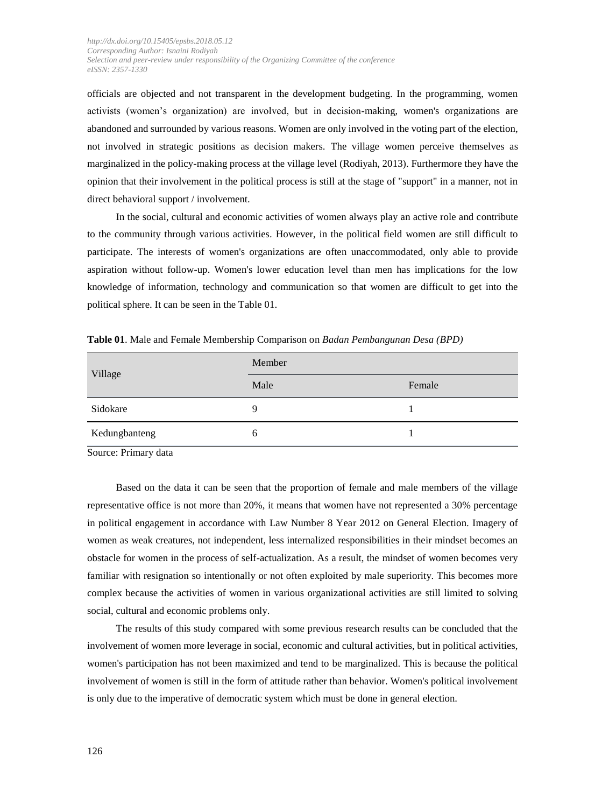officials are objected and not transparent in the development budgeting. In the programming, women activists (women's organization) are involved, but in decision-making, women's organizations are abandoned and surrounded by various reasons. Women are only involved in the voting part of the election, not involved in strategic positions as decision makers. The village women perceive themselves as marginalized in the policy-making process at the village level (Rodiyah, 2013). Furthermore they have the opinion that their involvement in the political process is still at the stage of "support" in a manner, not in direct behavioral support / involvement.

In the social, cultural and economic activities of women always play an active role and contribute to the community through various activities. However, in the political field women are still difficult to participate. The interests of women's organizations are often unaccommodated, only able to provide aspiration without follow-up. Women's lower education level than men has implications for the low knowledge of information, technology and communication so that women are difficult to get into the political sphere. It can be seen in the Table 01.

| Village       | Member |        |
|---------------|--------|--------|
|               | Male   | Female |
| Sidokare      | Q      |        |
| Kedungbanteng | h      |        |

**Table 01**. Male and Female Membership Comparison on *Badan Pembangunan Desa (BPD)*

Source: Primary data

Based on the data it can be seen that the proportion of female and male members of the village representative office is not more than 20%, it means that women have not represented a 30% percentage in political engagement in accordance with Law Number 8 Year 2012 on General Election. Imagery of women as weak creatures, not independent, less internalized responsibilities in their mindset becomes an obstacle for women in the process of self-actualization. As a result, the mindset of women becomes very familiar with resignation so intentionally or not often exploited by male superiority. This becomes more complex because the activities of women in various organizational activities are still limited to solving social, cultural and economic problems only.

The results of this study compared with some previous research results can be concluded that the involvement of women more leverage in social, economic and cultural activities, but in political activities, women's participation has not been maximized and tend to be marginalized. This is because the political involvement of women is still in the form of attitude rather than behavior. Women's political involvement is only due to the imperative of democratic system which must be done in general election.